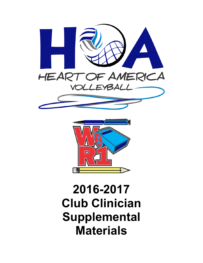



## **2016-2017 Club Clinician Supplemental Materials**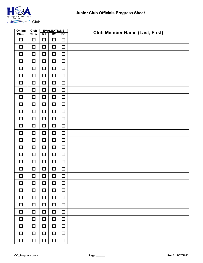

Club:

| Online<br><b>Clinic</b> | Club<br><b>Clinic</b> | R <sub>1</sub> | <b>EVALUATIONS</b><br>R <sub>2</sub> | SC     | <b>Club Member Name (Last, First)</b> |
|-------------------------|-----------------------|----------------|--------------------------------------|--------|---------------------------------------|
| $\Box$                  | $\Box$                | $\Box$         | $\Box$                               | $\Box$ |                                       |
| □                       | □                     | $\Box$         | $\Box$                               | $\Box$ |                                       |
| □                       | $\Box$                | □              | $\Box$                               | $\Box$ |                                       |
| $\Box$                  | $\Box$                | $\Box$         | $\Box$                               | $\Box$ |                                       |
| $\Box$                  | $\Box$                | $\Box$         | $\Box$                               | $\Box$ |                                       |
| $\Box$                  | $\Box$                | □              | $\Box$                               | $\Box$ |                                       |
| □                       | $\Box$                | $\Box$         | $\Box$                               | $\Box$ |                                       |
| $\Box$                  | $\Box$                | □              | $\Box$                               | $\Box$ |                                       |
| □                       | $\Box$                | $\Box$         | $\Box$                               | $\Box$ |                                       |
| □                       | $\Box$                | $\Box$         | $\Box$                               | $\Box$ |                                       |
| $\Box$                  | $\Box$                | □              | $\Box$                               | $\Box$ |                                       |
| □                       | $\Box$                | $\Box$         | $\Box$                               | $\Box$ |                                       |
| $\Box$                  | $\Box$                | □              | $\Box$                               | $\Box$ |                                       |
| □                       | $\Box$                | $\Box$         | $\Box$                               | $\Box$ |                                       |
| ◻                       | $\Box$                | □              | $\Box$                               | $\Box$ |                                       |
| $\Box$                  | $\Box$                | $\Box$         | $\Box$                               | $\Box$ |                                       |
| □                       | $\Box$                | $\Box$         | $\Box$                               | $\Box$ |                                       |
| $\Box$                  | $\Box$                | □              | $\Box$                               | $\Box$ |                                       |
| $\Box$                  | $\Box$                | $\Box$         | $\Box$                               | $\Box$ |                                       |
| $\Box$                  | $\Box$                | $\Box$         | $\Box$                               | $\Box$ |                                       |
| $\Box$                  | □                     | $\Box$         | $\Box$                               | $\Box$ |                                       |
| □                       | $\Box$                | $\Box$         | $\Box$                               | $\Box$ |                                       |
| $\Box$                  | □                     | $\Box$         | $\Box$                               | $\Box$ |                                       |
| $\Box$                  | $\Box$                | $\Box$         | $\Box$                               | $\Box$ |                                       |
| $\Box$                  | $\Box$                | $\Box$         | $\Box$                               | $\Box$ |                                       |
| $\Box$                  | $\Box$                | $\Box$         | $\Box$                               | $\Box$ |                                       |
| $\Box$                  | □                     | $\Box$         | $\Box$                               | $\Box$ |                                       |
| □                       | □                     | $\Box$         | $\Box$                               | $\Box$ |                                       |
| $\Box$                  | $\Box$                | $\Box$         | $\Box$                               | $\Box$ |                                       |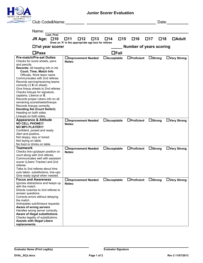

Club Code&Name: Date:

| Name:                                                                                                                                                                                                                                                                                                                                                                                                                                                                                                                                                                                           |                                                                                           |                           |                                |                           |                    |
|-------------------------------------------------------------------------------------------------------------------------------------------------------------------------------------------------------------------------------------------------------------------------------------------------------------------------------------------------------------------------------------------------------------------------------------------------------------------------------------------------------------------------------------------------------------------------------------------------|-------------------------------------------------------------------------------------------|---------------------------|--------------------------------|---------------------------|--------------------|
| Last, First<br>$\square$ 10<br><b>JR Age:</b>                                                                                                                                                                                                                                                                                                                                                                                                                                                                                                                                                   | □11<br>$\square$ 12<br>$\square$ 13<br>Draw an 'X' in the appropriate age box for referee | $\square$ 15<br>$\Box$ 14 | $\square$ 16                   | $\square$ 18<br>$\Box$ 17 | $\Box$ Adult       |
| $\Box$ 1st year scorer                                                                                                                                                                                                                                                                                                                                                                                                                                                                                                                                                                          |                                                                                           |                           | <b>Number of years scoring</b> |                           |                    |
| $\square$ Pass                                                                                                                                                                                                                                                                                                                                                                                                                                                                                                                                                                                  |                                                                                           | $\Box$ Fail               |                                |                           |                    |
| <b>Pre-match/Pre-set Duties</b><br>Checks for score sheets, pens<br>and pencils.<br>Records: All heading info in ink.<br>Court, Time, Match Info<br>Officials, Work team name<br>Communicates with 2nd referee.<br>Records serving/receiving teams<br>correctly $(3 \times \text{on sheet})$ .<br>Give lineup sheets to 2nd referee.<br>Checks lineups for signature,<br>captains, Liberos or X.<br>Records proper Libero info on all<br>remaining scoresheets/lineups.<br>Records lineups correctly.<br><b>Deciding Set (Court Switch)</b><br>Heading on both sides.<br>Lineups on both sides. | □Improvement Needed<br>Notes:                                                             | $\Box$ Acceptable         | $\Box$ Proficient              | $\Box$ Strong             | $\Box$ Very Strong |
| <b>Appearance &amp; Attitude</b><br><b>NO CELL PHONE!!!</b><br><b>NO MP3 PLAYER!!!</b><br>Confident, poised and ready.<br>Alert and positive.<br>Not sloppy, lazy or bored.<br>Not laying on table.<br>No food or drinks on table.                                                                                                                                                                                                                                                                                                                                                              | □Improvement Needed<br>Notes:                                                             | $\Box$ Acceptable         | $\Box$ Proficient              | $\Box$ Strong             | $\Box$ Very Strong |
| <b>Teamwork</b><br>Checks line-up/player position on<br>court along with 2nd referee.<br>Communicates well with assistant<br>scorer (Libero Tracker) and 2nd<br>referee.<br>Talks to 2nd referee about time<br>outs taken, substitutions, line-ups.<br>Give ready signal when needed.                                                                                                                                                                                                                                                                                                           | □Improvement Needed<br>Notes:                                                             | $\Box$ Acceptable         | $\Box$ Proficient              | $\Box$ Strong             | $\Box$ Very Strong |
| <b>Focus and Awareness</b><br>Ignores distractions and keeps up<br>with the match.<br>Directs coaches to 2nd referee to<br>answer questions.<br>Corrects errors without delaying<br>the match.<br>Anticipates sub/timeout requests.<br>Aware of wrong servers<br>Handles wrong server correctly.<br>Aware of illegal substitutions<br>Checks legality of substitutions.<br><b>Assists with illegal Libero</b><br>replacements.                                                                                                                                                                  | □Improvement Needed<br>Notes:                                                             | $\Box$ Acceptable         | $\Box$ Proficient              | $\Box$ Strong             | □Very Strong       |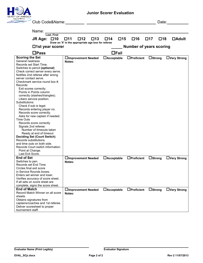

Club Code&Name: Date:

| Name:<br>Last, First                                                                                                                                                                                                                                                                                                                                                                                                                                                                                                                                                                                                                                                                                                                                                                                                         |                                                                                                    |                           |                                |                           |                    |
|------------------------------------------------------------------------------------------------------------------------------------------------------------------------------------------------------------------------------------------------------------------------------------------------------------------------------------------------------------------------------------------------------------------------------------------------------------------------------------------------------------------------------------------------------------------------------------------------------------------------------------------------------------------------------------------------------------------------------------------------------------------------------------------------------------------------------|----------------------------------------------------------------------------------------------------|---------------------------|--------------------------------|---------------------------|--------------------|
| $\square$ 10<br>JR Age:                                                                                                                                                                                                                                                                                                                                                                                                                                                                                                                                                                                                                                                                                                                                                                                                      | $\square$ 12<br>$\square$ 13<br>$\square$ 11<br>Draw an 'X' in the appropriate age box for referee | $\square$ 15<br>$\Box$ 14 | $\square$ 16                   | $\Box$ 17<br>$\square$ 18 | $\Box$ Adult       |
| $\Box$ 1st year scorer                                                                                                                                                                                                                                                                                                                                                                                                                                                                                                                                                                                                                                                                                                                                                                                                       |                                                                                                    |                           | <b>Number of years scoring</b> |                           |                    |
| $\Box$ Pass                                                                                                                                                                                                                                                                                                                                                                                                                                                                                                                                                                                                                                                                                                                                                                                                                  |                                                                                                    | $\Box$ Fail               |                                |                           |                    |
| <b>Scoring the Set</b><br>General neatness<br>Records set Start Time.<br>Switches to pencil (optional)<br>Check correct server every serve.<br>Notifies 2nd referee after wrong<br>server contact serve.<br>Checkmark service round box #.<br>Records:<br>Exit scores correctly.<br>Points in Points column<br>correctly (slashes/triangles).<br>Libero service position.<br>Substitutions:<br>Check if sub is legal.<br>Records entering player no.<br>Records score correctly.<br>Asks for new captain if needed.<br><b>Time Outs</b><br>Records score correctly<br>Signals 2nd referee:<br>Number of timeouts taken<br>Ready at end of timeout<br><b>Deciding Set (Court Switch)</b><br>Records substitutions<br>and time outs on both side.<br>Records Court switch information.<br>Point at Change.<br>Last Exit Score. | <b>∐Improvement Needed</b><br>Notes:                                                               | $\Box$ Acceptable         | $\Box$ Proficient              | $\Box$ Strong             | $\Box$ Very Strong |
| <b>End of Set</b><br>Switches to pen.<br>Records set End Time<br>Circles final exit score<br>in Service Rounds boxes.<br>Enters set winner and loser.<br>Verifies accuracy of score sheet.<br>If all sets on score sheet are<br>complete, signs the score sheet.                                                                                                                                                                                                                                                                                                                                                                                                                                                                                                                                                             | □Improvement Needed<br>Notes:                                                                      | $\Box$ Acceptable         | $\Box$ Proficient              | $\Box$ Strong             | $\Box$ Very Strong |
| <b>End of Match</b><br>Record Match Winner on all score<br>sheets.<br>Obtains signatures from<br>captains/coaches and 1st referee.<br>Deliver scoresheet to proper<br>tournament staff.                                                                                                                                                                                                                                                                                                                                                                                                                                                                                                                                                                                                                                      | □Improvement Needed<br>Notes:                                                                      | $\Box$ Acceptable         | $\Box$ Proficient              | $\Box$ Strong             | □Very Strong       |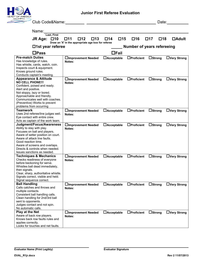

| Club Code&Name:                                                    |                                                    |                           |                                   | Date:                        |                    |
|--------------------------------------------------------------------|----------------------------------------------------|---------------------------|-----------------------------------|------------------------------|--------------------|
|                                                                    |                                                    |                           |                                   |                              |                    |
| Name:<br>Last, First                                               |                                                    |                           |                                   |                              |                    |
| $\square$ 10<br>JR Age:                                            | $\square$ 12<br>$\square$ 13<br>□11                | $\square$ 15<br>$\Box$ 14 | $\square$ 16                      | $\square$ 17<br>$\square$ 18 | $\Box$ Adult       |
| $\Box$ 1st year referee                                            | Draw an 'X' in the appropriate age box for referee |                           | <b>Number of years refereeing</b> |                              |                    |
|                                                                    |                                                    |                           |                                   |                              |                    |
| $\Box$ Pass                                                        |                                                    | $\Box$ Fail               |                                   |                              |                    |
| <b>Pre-match Duties</b>                                            | □Improvement Needed                                | $\Box$ Acceptable         | $\Box$ Proficient                 | $\Box$ Strong                | $\Box$ Very Strong |
| Has knowledge of rules.                                            | Notes:                                             |                           |                                   |                              |                    |
| Has whistle, cards, watch, coin.                                   |                                                    |                           |                                   |                              |                    |
| Inspects court & equipment.                                        |                                                    |                           |                                   |                              |                    |
| Knows ground rules.                                                |                                                    |                           |                                   |                              |                    |
| Conducts captain's meeting.                                        |                                                    |                           |                                   |                              |                    |
| <b>Appearance &amp; Attitude</b>                                   | □Improvement Needed                                | $\Box$ Acceptable         | $\Box$ Proficient                 | $\Box$ Strong                | $\Box$ Very Strong |
| <b>NO CELL PHONE!!!</b>                                            | Notes:                                             |                           |                                   |                              |                    |
| Confident, poised and ready.                                       |                                                    |                           |                                   |                              |                    |
| Alert and positive.                                                |                                                    |                           |                                   |                              |                    |
| Not sloppy, lazy or bored.                                         |                                                    |                           |                                   |                              |                    |
| Approachable and friendly.                                         |                                                    |                           |                                   |                              |                    |
| Communicates well with coaches.                                    |                                                    |                           |                                   |                              |                    |
| (Preventive) Works to prevent                                      |                                                    |                           |                                   |                              |                    |
| problems from occurring                                            |                                                    |                           |                                   |                              |                    |
| <b>Teamwork</b>                                                    | □Improvement Needed                                | $\Box$ Acceptable         | $\Box$ Proficient                 | $\Box$ Strong                | □Very Strong       |
| Uses 2nd referee/line judges well.                                 | Notes:                                             |                           |                                   |                              |                    |
| Eye contact with entire crew.                                      |                                                    |                           |                                   |                              |                    |
| Acts as captain of the work team.                                  |                                                    |                           |                                   |                              |                    |
| Judgment/Focus/Awareness                                           | □Improvement Needed                                | $\Box$ Acceptable         | $\Box$ Proficient                 | $\Box$ Strong                | $\Box$ Very Strong |
| Ability to stay with play.                                         | Notes:                                             |                           |                                   |                              |                    |
| Focuses on ball and players.<br>Aware of setter position on court. |                                                    |                           |                                   |                              |                    |
| Aware of attack line faults.                                       |                                                    |                           |                                   |                              |                    |
| Good reaction time.                                                |                                                    |                           |                                   |                              |                    |
| Aware of screens and overlaps.                                     |                                                    |                           |                                   |                              |                    |
| Directs & controls when needed.                                    |                                                    |                           |                                   |                              |                    |
| Issues sanctions as needed.                                        |                                                    |                           |                                   |                              |                    |
| <b>Techniques &amp; Mechanics</b>                                  | □Improvement Needed                                | $\Box$ Acceptable         | $\Box$ Proficient                 | $\Box$ Strong                | $\Box$ Very Strong |
| Checks readiness of everyone                                       | Notes:                                             |                           |                                   |                              |                    |
| before beckoning for serve.                                        |                                                    |                           |                                   |                              |                    |
| Whistles ball dead immediately,                                    |                                                    |                           |                                   |                              |                    |
| then signals.                                                      |                                                    |                           |                                   |                              |                    |
| Clear, sharp, authoritative whistle.                               |                                                    |                           |                                   |                              |                    |
| Signals correct, visible and held.                                 |                                                    |                           |                                   |                              |                    |
| Signal sequence correct.                                           |                                                    |                           |                                   |                              |                    |
| <b>Ball Handling</b>                                               | <b>∐Improvement Needed</b>                         | $\Box$ Acceptable         | $\Box$ Proficient                 | $\Box$ Strong                | $\Box$ Very Strong |
| Calls catches and throws and                                       | Notes:                                             |                           |                                   |                              |                    |
| multiple contacts.                                                 |                                                    |                           |                                   |                              |                    |
| Consistent ball handling calls.                                    |                                                    |                           |                                   |                              |                    |
| Clean handling for 2nd/3rd ball                                    |                                                    |                           |                                   |                              |                    |
| sent to opponents.                                                 |                                                    |                           |                                   |                              |                    |
| Judges contact and not spin.                                       |                                                    |                           |                                   |                              |                    |
| No automatic calls.                                                |                                                    |                           |                                   |                              |                    |
| Play at the Net                                                    | <b>∐Improvement Needed</b>                         | $\Box$ Acceptable         | $\Box$ Proficient                 | $\Box$ Strong                | $\Box$ Very Strong |
| Aware of back row players.<br>Knows back row faults rules and      | Notes:                                             |                           |                                   |                              |                    |
| applies correctly.                                                 |                                                    |                           |                                   |                              |                    |
| Looks for touches and net faults.                                  |                                                    |                           |                                   |                              |                    |
|                                                                    |                                                    |                           |                                   |                              |                    |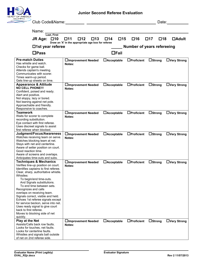

| Club Code&Name:                                                          |                                                    |                     |                                   | Date:                     |                    |
|--------------------------------------------------------------------------|----------------------------------------------------|---------------------|-----------------------------------|---------------------------|--------------------|
|                                                                          |                                                    |                     |                                   |                           |                    |
| Name:                                                                    |                                                    |                     |                                   |                           |                    |
| Last, First                                                              |                                                    |                     |                                   |                           |                    |
| $\square$ 10<br>JR Age:                                                  | □12<br>$\square$ 13<br>□11                         | $\square$ 15<br>□14 | □16                               | $\square$ 18<br>$\Box$ 17 | <b>DAdult</b>      |
|                                                                          | Draw an 'X' in the appropriate age box for referee |                     |                                   |                           |                    |
| $\Box$ 1st year referee                                                  |                                                    |                     | <b>Number of years refereeing</b> |                           |                    |
|                                                                          |                                                    |                     |                                   |                           |                    |
| $\Box$ Pass                                                              |                                                    | $\Box$ Fail         |                                   |                           |                    |
|                                                                          |                                                    |                     |                                   |                           |                    |
| <b>Pre-match Duties</b>                                                  | □Improvement Needed                                | $\Box$ Acceptable   | $\Box$ Proficient                 | $\Box$ Strong             | $\Box$ Very Strong |
| Has whistle and watch.                                                   | Notes:                                             |                     |                                   |                           |                    |
| Checks for game ball.<br>Attends captain's meeting.                      |                                                    |                     |                                   |                           |                    |
| Communicates with scorer.                                                |                                                    |                     |                                   |                           |                    |
| Times warm-up period.                                                    |                                                    |                     |                                   |                           |                    |
| Gets line-up sheets on time.                                             |                                                    |                     |                                   |                           |                    |
| <b>Appearance &amp; Attitude</b>                                         | □Improvement Needed                                | $\Box$ Acceptable   | $\Box$ Proficient                 | $\Box$ Strong             | $\Box$ Very Strong |
| <b>NO CELL PHONE!!!</b>                                                  | Notes:                                             |                     |                                   |                           |                    |
| Confident, poised and ready.                                             |                                                    |                     |                                   |                           |                    |
| Alert and positive.                                                      |                                                    |                     |                                   |                           |                    |
| Not sloppy, lazy or bored.                                               |                                                    |                     |                                   |                           |                    |
| Not leaning against net pole.                                            |                                                    |                     |                                   |                           |                    |
| Approachable and friendly.                                               |                                                    |                     |                                   |                           |                    |
| Responsive to coaches.                                                   |                                                    |                     |                                   |                           |                    |
| <b>Teamwork</b>                                                          | □Improvement Needed                                | $\Box$ Acceptable   | $\Box$ Proficient                 | $\Box$ Strong             | $\Box$ Very Strong |
| Waits for scorer to complete                                             | Notes:                                             |                     |                                   |                           |                    |
| recording substitution.                                                  |                                                    |                     |                                   |                           |                    |
| Eye contact with first referee.                                          |                                                    |                     |                                   |                           |                    |
| Uses discreet signals to assist                                          |                                                    |                     |                                   |                           |                    |
| first referee when blocked.<br>Judgment/Focus/Awareness                  |                                                    |                     |                                   |                           |                    |
| Watches receiving team on serve.                                         | □Improvement Needed                                | $\Box$ Acceptable   | $\Box$ Proficient                 | $\Box$ Strong             | $\Box$ Very Strong |
| Watches blocking team at net.                                            | Notes:                                             |                     |                                   |                           |                    |
| Stays with net and centerline.                                           |                                                    |                     |                                   |                           |                    |
| Aware of setter position on court.                                       |                                                    |                     |                                   |                           |                    |
| Good reaction time.                                                      |                                                    |                     |                                   |                           |                    |
| Aware of screens and overlaps.                                           |                                                    |                     |                                   |                           |                    |
| Anticipates time-outs and subs.                                          |                                                    |                     |                                   |                           |                    |
| <b>Techniques &amp; Mechanics</b>                                        | □Improvement Needed                                | $\Box$ Acceptable   | $\Box$ Proficient                 | $\Box$ Strong             | $\Box$ Very Strong |
| Verifies line-up position on court.                                      | Notes:                                             |                     |                                   |                           |                    |
| Identifies captains to first referee.                                    |                                                    |                     |                                   |                           |                    |
| Clear, sharp, authoritative whistle.                                     |                                                    |                     |                                   |                           |                    |
| Whistles:                                                                |                                                    |                     |                                   |                           |                    |
| To begin/end time-outs.                                                  |                                                    |                     |                                   |                           |                    |
| And Signals substitutions.                                               |                                                    |                     |                                   |                           |                    |
| To end time between sets.                                                |                                                    |                     |                                   |                           |                    |
| Recognizes and calls                                                     |                                                    |                     |                                   |                           |                    |
| overlaps on receiving team.                                              |                                                    |                     |                                   |                           |                    |
| Signals correct, visible and held.                                       |                                                    |                     |                                   |                           |                    |
| Echoes 1st referee signals except<br>for service beckon, serve into net. |                                                    |                     |                                   |                           |                    |
| Uses ready signal to give court                                          |                                                    |                     |                                   |                           |                    |
| back to first referee.                                                   |                                                    |                     |                                   |                           |                    |
| Moves to blocking side of net                                            |                                                    |                     |                                   |                           |                    |
| quickly.                                                                 |                                                    |                     |                                   |                           |                    |
| Play at the Net                                                          | <b>∐Improvement Needed</b>                         | $\Box$ Acceptable   | $\Box$ Proficient                 | $\Box$ Strong             | □Very Strong       |
| Assists/Calls back row faults.                                           | Notes:                                             |                     |                                   |                           |                    |
| Looks for touches, net faults.                                           |                                                    |                     |                                   |                           |                    |
| Looks for centerline faults.                                             |                                                    |                     |                                   |                           |                    |
| Whistles and signals ball outside                                        |                                                    |                     |                                   |                           |                    |
| of net on 2nd referee side.                                              |                                                    |                     |                                   |                           |                    |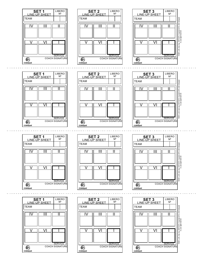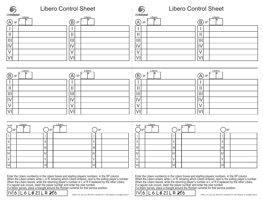| USAVolleyball.                                                                                                                                      | <b>Libero Control Sheet</b>                                                                                                                                                                                                                                                                                                                                             | USAVolleyball.                                                        | <b>Libero Control Sheet</b>                                                                                                                                                                                                                                                                                                                                                                                                                                                                                      |
|-----------------------------------------------------------------------------------------------------------------------------------------------------|-------------------------------------------------------------------------------------------------------------------------------------------------------------------------------------------------------------------------------------------------------------------------------------------------------------------------------------------------------------------------|-----------------------------------------------------------------------|------------------------------------------------------------------------------------------------------------------------------------------------------------------------------------------------------------------------------------------------------------------------------------------------------------------------------------------------------------------------------------------------------------------------------------------------------------------------------------------------------------------|
| Libero<br>$\bigoplus$ SP<br>$\mathbf{\mathbf{\mathsf{H}}}$<br>       <br>IV<br>$\vee$<br>VI                                                         | Libero<br>$\bigcircled{B}$<br>SP<br>$\mathbf{\mathbf{\mathsf{I}}}\mathbf{\mathsf{I}}$<br>$\mathbf{  }$<br>$\mathsf{IV}$<br>$\vee$<br>VI                                                                                                                                                                                                                                 | Libero<br>$(\overline{A})$<br>SP<br>Ш<br>IV<br>V<br>$\overline{\vee}$ | Libero<br>$\bigcirc$<br>SP<br>$\mathbf{\mathsf{I}}$<br>$\mathbf{  }$<br>IV<br>V<br>VI                                                                                                                                                                                                                                                                                                                                                                                                                            |
| Libero<br>$\circled{B}$ sp<br>$\mathbf{\mathbf{\mathsf{H}}}$<br>∣III<br>IV<br>$\vee$<br>VI                                                          | <b>Libero</b><br>R<br>$\left(\cancel{A}\right)$ SP<br>$\mathbf{\mathcal{H}}$<br>$\mathbf{  }$<br>IV<br>$\vee$<br>VI                                                                                                                                                                                                                                                     | Libero<br>$\textcircled{B}$ sp<br>Ш<br>Ш<br>IV<br>VI                  | <b>Libero</b><br>$\left(\cancel{A}\right)$ sp<br>$\mathbf{\mathsf{I}}$<br>$\mathbf{  }$<br>IV<br>V<br>VI                                                                                                                                                                                                                                                                                                                                                                                                         |
| Libero<br>AorB<br><b>SP</b><br>$\mathbf{I}$<br>$\, \parallel$<br>$\lfloor \mathfrak{m} \rfloor$<br>$\overline{\mathbb{N}}$<br>$\overline{V}$<br> vı | Libero<br><b>SP</b><br><b>SP</b><br>$\vert\vert$<br>II<br>$\mathbb{H}$<br>$\mathbb{I}$<br> IV <br>N<br>$\vee$<br>V<br>VI <br>VI<br>Enter the Libero number(s) in the Libero boxes and starting players' numbers in the SP column.<br>When the Libero enters, write L or R, showing which Libero entered, next to the exiting player's number.<br>When the Libero leaves | Libero<br>AorB<br><b>SP</b><br> V <br>V<br>$\sim$<br>VI               | Libero<br><b>SP</b><br><b>SP</b><br>$\ensuremath{\mathsf{II}}$<br>$\label{eq:1} \prod_{i=1}^n \left\{ \prod_{i=1}^n \frac{1}{n_i} \right\}$<br>$\left\vert \right\vert \right\vert$<br>$\mathbb{H}$<br> IV<br><sub>IIV</sub><br>$\mathsf V$<br>V<br>VI<br>V <sub>1</sub><br>Enter the Libero number(s) in the Libero boxes and starting players' numbers in the SP column.<br>When the Libero enters, write L or R, showing which Libero entered, next to the exiting player's number.<br>When the Libero leaves |



IV $\overline{\text{MS}}$  6  $\overline{\text{L}6$   $\overline{\text{L}6}$  21  $\overline{\text{L}$  R 216  $^\circ}$  150825 LCS\_3set\_2up, 08/01/2015, Copyright 2015, USA Volleyball, ric.usav@all-vball.net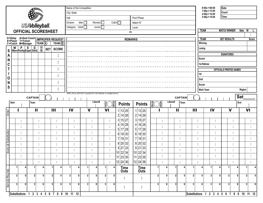|                       |              |                                   |                         |                       |                                                                                                             | Name of the Competition |                                                                                  |                                          |                                                              |                                                  |                                     |                       |                                          | $8:00a = 08:00$<br>$1:00p = 13:00$ |                     | Date                           |                |                             |                  |
|-----------------------|--------------|-----------------------------------|-------------------------|-----------------------|-------------------------------------------------------------------------------------------------------------|-------------------------|----------------------------------------------------------------------------------|------------------------------------------|--------------------------------------------------------------|--------------------------------------------------|-------------------------------------|-----------------------|------------------------------------------|------------------------------------|---------------------|--------------------------------|----------------|-----------------------------|------------------|
|                       |              |                                   |                         |                       |                                                                                                             | City, State             |                                                                                  |                                          |                                                              |                                                  |                                     |                       |                                          | $2:00p = 14:00$                    |                     | Court                          |                |                             |                  |
|                       |              |                                   |                         |                       |                                                                                                             | Hall                    |                                                                                  |                                          |                                                              | Pool Phase                                       |                                     |                       |                                          | $3:00p = 15:00$                    |                     | Time                           |                |                             |                  |
|                       |              |                                   |                         |                       |                                                                                                             | Division                | Men<br>Women $\square$                                                           | CoEd                                     |                                                              | Match N°                                         |                                     |                       |                                          |                                    |                     |                                |                |                             |                  |
|                       |              |                                   |                         | <b>USAVolleyball.</b> |                                                                                                             | Category Adult          | Junior $\Box$                                                                    |                                          |                                                              | Level                                            |                                     |                       |                                          |                                    |                     |                                |                |                             |                  |
|                       |              |                                   |                         |                       | <b>OFFICIAL SCORESHEET</b>                                                                                  |                         |                                                                                  |                                          | <b>VS</b>                                                    |                                                  |                                     |                       |                                          | <b>TEAM</b>                        |                     | <b>MATCH WINNER</b>            |                | Sets W                      |                  |
|                       |              |                                   |                         |                       |                                                                                                             |                         |                                                                                  |                                          | <b>REMARKS</b>                                               |                                                  |                                     |                       |                                          | <b>TEAM</b>                        |                     | <b>SET RESULTS</b>             |                |                             | <b>Score</b>     |
|                       |              | C=Coach M=Manager                 |                         |                       | D=Delay A=Asst Coach IMPROPER REQUEST<br>#=Player T=Trainer<br>$TEAM(\overline{A})$ : TEAM $(\overline{B})$ |                         |                                                                                  |                                          |                                                              |                                                  |                                     |                       |                                          | Winning                            |                     |                                |                |                             |                  |
|                       |              |                                   |                         |                       |                                                                                                             |                         |                                                                                  |                                          |                                                              |                                                  |                                     |                       |                                          | Losing                             |                     |                                |                |                             |                  |
| ${\bf S}$             |              | W P E D<br>Warn Penity Expel DisQ |                         | $\circledR$           | <b>SCORE</b><br><b>SET</b>                                                                                  |                         |                                                                                  |                                          |                                                              |                                                  |                                     |                       |                                          |                                    |                     |                                |                |                             |                  |
| A                     |              |                                   |                         |                       | $\blacksquare$<br>$\blacksquare$                                                                            |                         |                                                                                  |                                          |                                                              |                                                  |                                     |                       |                                          |                                    |                     | <b>SIGNATURES</b>              |                |                             |                  |
| N                     |              |                                   |                         |                       | $\blacksquare$                                                                                              |                         |                                                                                  |                                          |                                                              |                                                  |                                     |                       |                                          | Scorer                             |                     |                                |                |                             |                  |
| $\mathbf C$           |              |                                   |                         |                       |                                                                                                             |                         |                                                                                  |                                          |                                                              |                                                  |                                     |                       |                                          | 1st Referee                        |                     |                                |                |                             |                  |
| T                     |              |                                   |                         |                       | $\blacksquare$<br>$\blacksquare$                                                                            |                         |                                                                                  |                                          |                                                              |                                                  |                                     |                       |                                          |                                    |                     | <b>OFFICIALS PRINTED NAMES</b> |                |                             |                  |
|                       |              |                                   |                         |                       | $\blacksquare$<br>$\bullet$                                                                                 |                         |                                                                                  |                                          |                                                              |                                                  |                                     |                       | 1st                                      |                                    |                     |                                |                |                             |                  |
| $\mathbf 0$           |              |                                   |                         |                       |                                                                                                             |                         |                                                                                  |                                          |                                                              |                                                  |                                     |                       | 2nd                                      |                                    |                     |                                |                |                             |                  |
| N                     |              |                                   |                         |                       | $\blacksquare$                                                                                              |                         |                                                                                  |                                          |                                                              |                                                  |                                     |                       |                                          | Scorer                             |                     |                                |                |                             |                  |
| ${\mathsf S}$         |              |                                   |                         |                       | $\blacksquare$<br>$\blacksquare$                                                                            |                         |                                                                                  |                                          |                                                              |                                                  |                                     |                       |                                          | <b>Work Team</b>                   |                     |                                |                | Region                      |                  |
|                       |              |                                   |                         |                       |                                                                                                             |                         | 150801_SS1up, 08/01/2015, Copyright 2015, USA Volleyball, ric.usav@all-vball.net |                                          |                                                              |                                                  |                                     |                       |                                          |                                    |                     |                                |                |                             |                  |
|                       |              |                                   | <b>CAPTAIN</b>          |                       |                                                                                                             |                         |                                                                                  |                                          |                                                              |                                                  |                                     | <b>CAPTAIN</b>        |                                          |                                    |                     |                                | <b>Set</b>     |                             |                  |
|                       |              |                                   |                         |                       |                                                                                                             |                         |                                                                                  |                                          |                                                              |                                                  |                                     |                       |                                          |                                    |                     |                                |                |                             |                  |
|                       | <b>Start</b> | $\blacksquare$                    | Team                    |                       |                                                                                                             |                         | Libero#                                                                          |                                          |                                                              |                                                  | Libero#                             | Team                  |                                          |                                    |                     |                                | End            | ٠                           |                  |
|                       |              |                                   |                         | $\mathbf{H}$          | $\mathbf{H}$                                                                                                | IV                      | $\mathbf v$                                                                      | (S)<br>(R)<br>$\frac{A}{R}$<br><b>VI</b> | <b>Points</b>                                                | $\frac{\mathbb{S}}{\mathbb{R}}$<br><b>Points</b> | $\left  \frac{\Delta A}{B} \right $ | $\mathbf{\mathbf{H}}$ | $\mathbf{III}$                           | IV                                 |                     | $\mathbf v$                    |                | $\blacksquare$<br><b>VI</b> |                  |
|                       |              |                                   |                         |                       |                                                                                                             |                         |                                                                                  |                                          | 1 13 25<br>2 14 26                                           | 1 13 25<br>2 14 26                               |                                     |                       |                                          |                                    |                     |                                |                |                             |                  |
| Order                 |              | ÷                                 |                         | ÷                     | ÷                                                                                                           | ÷                       | ÷                                                                                | ÷.                                       | 15 27<br>3                                                   | 3 15 27                                          | t                                   | ÷                     | ÷                                        |                                    | ÷                   |                                | ÷              |                             | ÷                |
|                       |              | ÷                                 |                         | ÷                     | ÷                                                                                                           | ÷                       | ÷                                                                                | ÷                                        | 16 28<br>4                                                   | 4 16 28                                          | f,                                  | ÷                     | ÷                                        |                                    | ÷                   |                                | t              |                             | ÷                |
|                       |              | ÷                                 |                         | ÷                     | ÷                                                                                                           | ÷                       | ÷                                                                                |                                          | 5 17 29                                                      | 5 17 29                                          | f,                                  | ÷                     | ÷                                        |                                    | ÷                   | p                              |                |                             | ÷                |
|                       |              |                                   |                         |                       |                                                                                                             |                         |                                                                                  | ÷                                        | 18 30<br>6                                                   | 6 18 30                                          |                                     |                       |                                          |                                    |                     |                                |                |                             |                  |
|                       |              | ÷                                 |                         | ÷                     | ÷                                                                                                           | ÷                       | ÷                                                                                | ÷                                        | 19 31<br>7<br>20 32<br>8                                     | 7 19 31<br>8 20 32                               | ÷                                   |                       | ÷                                        |                                    | ÷                   |                                |                |                             | ÷                |
|                       |              | $\blacksquare$                    |                         |                       | ÷                                                                                                           | ٠                       | ÷                                                                                | ÷                                        | 33<br>9 21                                                   | 9 21 33                                          |                                     |                       |                                          |                                    | ÷<br>$\blacksquare$ |                                |                |                             |                  |
| Score at Substitution |              |                                   |                         |                       | t                                                                                                           |                         |                                                                                  |                                          |                                                              | 10 22 34                                         |                                     |                       |                                          |                                    |                     |                                |                |                             |                  |
|                       |              | ÷                                 |                         | ÷                     | ÷                                                                                                           | t                       | ÷                                                                                |                                          | $\begin{vmatrix} 10 & 22 & 34 \\ 11 & 23 & 35 \end{vmatrix}$ | 11 23 35                                         | t                                   | t                     | ÷                                        |                                    | ÷                   |                                |                |                             |                  |
|                       | 1            | ÷                                 |                         | ÷                     | ÷                                                                                                           | ÷                       | ÷                                                                                | ÷                                        | 12 24 36                                                     | 12 24 36                                         | t                                   | ÷                     | ÷                                        |                                    | ÷                   |                                | ÷              |                             | ÷                |
|                       |              | 4                                 | $\overline{1}$          | 4                     | 1<br>4                                                                                                      | $\mathbf{1}$<br>4       | $\mathbf{1}$<br>4                                                                | $\overline{1}$<br>-4                     | <b>Time</b><br>Outs                                          | <b>Time</b><br>Outs                              | $\mathbf{1}$                        | $\mathbf{1}$<br>Δ     | $\blacktriangleleft$                     | 1<br>4                             | 4                   |                                |                | $\mathbf{1}$                |                  |
|                       | 2            | $5\phantom{.0}$                   | $\overline{\mathbf{2}}$ | $\sqrt{5}$            | 5 <sub>5</sub><br>$\overline{2}$                                                                            | $\boldsymbol{2}$<br>5   | 2 <br>5                                                                          | $\overline{\mathbf{2}}$<br>$\sqrt{5}$    | Î,                                                           | ÷                                                | 2 <br>5 <sub>1</sub>                | 2 <br>5               | $\mathbf{2}$                             | 5 <sub>5</sub><br>$\mathbf{2}$     | 5                   | 2 <sup>1</sup>                 | 5              | $2 \mid$                    | 5                |
|                       | 3            | 6                                 | 3                       | $6 \mid$              | 3 <sup>1</sup><br>$6 \mid$                                                                                  | 3<br>6                  | 3<br>6                                                                           | 3<br>6                                   |                                                              |                                                  | $\mathbf{3}$<br>6                   | 3 <sup>1</sup><br>6   | $\mathbf{3}$                             | 6 <sup>1</sup><br>3                | 6                   | 3                              | 6 <sup>1</sup> | 3 <sup>1</sup>              | $6 \overline{6}$ |
| <b>Service Rounds</b> |              | <b>Substitutions</b>              |                         |                       | 2 3 4 5 6 7 8 9 10 11 12                                                                                    |                         |                                                                                  |                                          | ÷,                                                           | ÷                                                |                                     |                       | Substitutions 1 2 3 4 5 6 7 8 9 10 11 12 |                                    |                     |                                |                |                             |                  |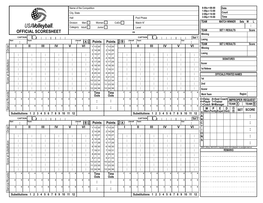|                       |                                          |                |                         |                |                         |   |                                       |   |                     |         | Name of the Competition                                                      |                      |                      |                         |                         |                |                               |                         |                 |                                          |                                          |                |                |                         |                         | $8:00a = 08:00$                                                                  |  | Date                                                                                                                                               |                                                                                           |             |              |
|-----------------------|------------------------------------------|----------------|-------------------------|----------------|-------------------------|---|---------------------------------------|---|---------------------|---------|------------------------------------------------------------------------------|----------------------|----------------------|-------------------------|-------------------------|----------------|-------------------------------|-------------------------|-----------------|------------------------------------------|------------------------------------------|----------------|----------------|-------------------------|-------------------------|----------------------------------------------------------------------------------|--|----------------------------------------------------------------------------------------------------------------------------------------------------|-------------------------------------------------------------------------------------------|-------------|--------------|
|                       |                                          |                |                         |                |                         |   |                                       |   | City, State         |         |                                                                              |                      |                      |                         |                         |                |                               |                         |                 |                                          |                                          |                |                |                         |                         | $1:00p = 13:00$<br>$2:00p = 14:00$                                               |  | Court                                                                                                                                              |                                                                                           |             |              |
|                       |                                          |                |                         |                |                         |   |                                       |   | Hall                |         |                                                                              |                      |                      |                         |                         |                | Pool Phase                    |                         |                 |                                          |                                          |                |                |                         |                         | $3:00p = 15:00$                                                                  |  | Time                                                                                                                                               |                                                                                           |             |              |
|                       |                                          |                |                         |                |                         |   |                                       |   | Division            |         | Men $\Box$                                                                   | Women $\square$      |                      | CoEd                    |                         |                | Match N°                      |                         |                 |                                          |                                          |                |                |                         |                         | <b>TEAM</b>                                                                      |  | <b>MATCH WINNER</b>                                                                                                                                |                                                                                           | <b>Sets</b> | W            |
|                       |                                          |                |                         |                | <b>USAVolleyball.</b>   |   |                                       |   | Category            |         | Adult <sup>1</sup>                                                           | Junior <sup>1</sup>  |                      |                         |                         |                | Level                         |                         |                 |                                          |                                          |                |                |                         |                         |                                                                                  |  |                                                                                                                                                    |                                                                                           |             |              |
|                       |                                          |                |                         |                |                         |   | <b>OFFICIAL SCORESHEET</b>            |   |                     |         |                                                                              |                      |                      |                         |                         | <b>VS</b>      |                               |                         |                 |                                          |                                          |                |                |                         |                         | <b>TEAM</b>                                                                      |  | <b>SET 1 RESULTS</b>                                                                                                                               |                                                                                           |             | Score        |
|                       |                                          | <b>CAPTAIN</b> |                         |                |                         |   |                                       |   |                     |         |                                                                              |                      |                      |                         |                         |                | <b>CAPTAIN</b>                |                         |                 |                                          |                                          |                |                |                         | Set 1                   | Winning                                                                          |  |                                                                                                                                                    |                                                                                           |             |              |
|                       | <b>Start</b>                             |                | Team                    |                |                         |   |                                       |   |                     | Libero# | $\bigcircled{{\mathsf{A}}}_{{\mathsf{R}}}^{{\mathsf{S}}}$                    | <b>Points</b>        | <b>Points</b>        | $\mathbf{B}$            | Libero#                 |                | Team                          |                         |                 |                                          |                                          |                | End            |                         |                         | Losing                                                                           |  |                                                                                                                                                    |                                                                                           |             |              |
|                       |                                          |                | Ш                       |                | $\overline{\mathbb{H}}$ |   | $\mathsf{IV}$                         |   | V                   |         | $\overline{\mathsf{v}}$                                                      | 1 13 25              | 1 13 25              |                         |                         |                | $\mathbf{H}$                  | $\overline{\mathbb{I}}$ |                 |                                          | $\overline{N}$                           | V              |                |                         | $\overline{\mathsf{v}}$ | <b>TEAM</b>                                                                      |  | <b>SET 2 RESULTS</b>                                                                                                                               |                                                                                           |             | <b>Score</b> |
| Order                 |                                          |                |                         |                |                         |   |                                       |   |                     |         |                                                                              | 2 14 26              | 2 14 26              |                         |                         |                |                               |                         |                 |                                          |                                          |                |                |                         |                         | Winning                                                                          |  |                                                                                                                                                    |                                                                                           |             |              |
|                       |                                          | $\blacksquare$ |                         | ÷              | ÷                       |   | ÷                                     |   | ÷                   |         |                                                                              | 3 15 27              | 3 15 27              |                         | ÷                       |                | ÷                             |                         | ÷               |                                          | ÷                                        |                | ÷              |                         | ÷                       | Losing                                                                           |  |                                                                                                                                                    |                                                                                           |             |              |
|                       |                                          | $\blacksquare$ |                         | ÷              | ÷                       |   | ÷                                     |   |                     |         |                                                                              | 4 16 28              | 4 16 28              |                         |                         |                | $\blacksquare$                |                         | $\blacksquare$  |                                          | $\blacksquare$                           |                | ÷              |                         | $\ddot{\phantom{a}}$    |                                                                                  |  | <b>SIGNATURES</b>                                                                                                                                  |                                                                                           |             |              |
|                       |                                          | $\blacksquare$ |                         | $\blacksquare$ |                         |   | ÷                                     |   |                     |         |                                                                              | 5 17 29<br>6 18 30   | 5 17 29<br>6 18 30   |                         |                         |                |                               |                         |                 |                                          | $\blacksquare$                           |                | $\blacksquare$ |                         | ÷                       | <b>Scorer</b>                                                                    |  |                                                                                                                                                    |                                                                                           |             |              |
|                       |                                          |                |                         | ÷              | ÷                       |   | ÷                                     |   | ÷                   |         |                                                                              | 7 19 31              | 7 19 31              |                         |                         |                |                               |                         | ÷               |                                          | ÷                                        |                | ÷              |                         | ÷                       | 1st Referee                                                                      |  |                                                                                                                                                    |                                                                                           |             |              |
|                       |                                          | $\blacksquare$ |                         | $\mathbf{r}$   | ÷                       |   | ÷                                     |   | ÷                   |         |                                                                              | 8 20 32              | 8 20 32              |                         | $\mathbf{u}$            |                | ÷                             |                         | ÷               |                                          | $\blacksquare$                           |                | ÷              |                         | ÷                       |                                                                                  |  |                                                                                                                                                    | <b>OFFICIALS PRINTED NAMES</b>                                                            |             |              |
| Score at Substitution |                                          | $\blacksquare$ |                         | ٠              | ÷                       |   | ÷                                     |   | ÷                   |         |                                                                              | 9 21 33              | 9 21 33              |                         | $\mathbf{r}_\mathrm{c}$ |                | ÷                             |                         | ÷               |                                          | $\blacksquare$                           |                | ÷              |                         | $\ddot{\phantom{a}}$    | 1st                                                                              |  |                                                                                                                                                    |                                                                                           |             |              |
|                       |                                          | ٠              |                         | ÷              | ÷                       |   | ÷                                     |   |                     |         |                                                                              | 10 22 34<br>11 23 35 | 10 22 34<br>11 23 35 |                         |                         |                |                               |                         | $\blacksquare$  |                                          | $\blacksquare$                           |                | ÷              |                         | $\ddot{\phantom{a}}$    | 2nd                                                                              |  |                                                                                                                                                    |                                                                                           |             |              |
|                       |                                          |                |                         |                |                         |   |                                       |   |                     |         |                                                                              | 12 24 36             | 12 24 36             |                         |                         |                |                               |                         |                 |                                          |                                          |                | ٠              |                         | ÷                       | Scorer                                                                           |  |                                                                                                                                                    |                                                                                           |             |              |
|                       |                                          |                |                         |                |                         |   |                                       |   |                     |         |                                                                              | <b>Time</b>          | <b>Time</b>          |                         | 4                       |                | 4                             |                         | 4               |                                          | 4                                        |                | 4              |                         |                         |                                                                                  |  |                                                                                                                                                    |                                                                                           |             |              |
|                       |                                          |                |                         |                |                         |   |                                       |   |                     |         |                                                                              | Outs                 | Outs                 |                         |                         |                |                               |                         |                 |                                          |                                          |                |                |                         |                         | <b>Work Team</b>                                                                 |  |                                                                                                                                                    |                                                                                           | Region      |              |
| <b>Service Rounds</b> | $\overline{2}$                           | 5              | $\overline{2}$          | 5              | $\overline{2}$          | 5 | $\overline{2}$                        | 5 | 2 <sup>1</sup><br>5 |         | $\overline{2}$                                                               |                      | ٠                    | 2                       | 5                       | $\overline{2}$ | 5                             | $\overline{2}$          | 5               | 2                                        | 5                                        | $\overline{2}$ | 5              | $\overline{2}$          |                         |                                                                                  |  |                                                                                                                                                    |                                                                                           |             |              |
|                       | $\overline{\mathbf{3}}$                  |                | 3                       |                |                         |   | 3                                     |   |                     | 3       |                                                                              | ٠                    | ٠                    | 3                       | 6                       | 3              |                               | 3                       | 6               | $\overline{\mathbf{3}}$                  | 6                                        | 3              |                | $\overline{\mathbf{3}}$ |                         | C=Coach M=Manager                                                                |  |                                                                                                                                                    | TEAM(A)                                                                                   | ÷           | TEAM(B)      |
|                       |                                          |                |                         |                |                         |   |                                       |   |                     |         |                                                                              |                      | ٠                    |                         |                         |                |                               |                         |                 |                                          |                                          |                |                |                         |                         | S                                                                                |  | $\begin{array}{ c c c c c } \hline & \mathsf{W} & \mathsf{P} & \mathsf{E} & \mathsf{D} \\ \hline \text{Warn Penlty Expel DisQ} \hline \end{array}$ | $\begin{matrix} \textcircled{\scriptsize{A}}\\ \textcircled{\scriptsize{B}} \end{matrix}$ | SET         | <b>SCORE</b> |
|                       |                                          |                |                         |                |                         |   | Substitutions 1 2 3 4 5 6 7 8 9 10 11 |   | 12                  |         |                                                                              |                      |                      |                         |                         |                |                               |                         |                 |                                          | Substitutions 1 2 3 4 5 6 7 8 9 10 11 12 |                |                |                         |                         |                                                                                  |  |                                                                                                                                                    |                                                                                           |             | ٠            |
|                       | <b>Start</b>                             | <b>CAPTAIN</b> | Team                    |                |                         |   |                                       |   |                     | Libero# |                                                                              |                      |                      |                         | Libero#                 |                | <b>CAPTAIN</b><br><b>Team</b> |                         |                 |                                          |                                          |                | End            |                         | Set 2                   | N                                                                                |  |                                                                                                                                                    |                                                                                           |             |              |
|                       |                                          |                | Ш                       |                | $\mathbf{III}$          |   | IV                                    |   | $\mathbf v$         |         | $\bigcirc \hspace{-7.5mm} B\hspace{-7.5mm} \bigcirc \hspace{-7.5mm} B$<br>VI | <b>Points</b>        | <b>Points</b>        | $\bigcirc \mathbb{R}^3$ |                         |                | $\mathbf{I}$                  |                         | $\mathbf{III}$  |                                          | IV                                       | $\mathbf v$    |                |                         | $\overline{V}$          | C<br>T                                                                           |  |                                                                                                                                                    |                                                                                           |             |              |
| Order                 |                                          |                |                         |                |                         |   |                                       |   |                     |         |                                                                              | 1 13 25 <br>2 14 26  | 1 13 25 <br>2 14 26  |                         |                         |                |                               |                         |                 |                                          |                                          |                |                |                         |                         |                                                                                  |  |                                                                                                                                                    |                                                                                           |             |              |
|                       |                                          | ÷              |                         | ÷              | ÷                       |   | ÷                                     |   | ÷                   |         |                                                                              | 3 15 27              | 3 15 27              |                         | ÷                       |                | ÷                             |                         | ÷               |                                          | ÷                                        |                | ÷              |                         | ÷                       | 0 <br>N                                                                          |  |                                                                                                                                                    |                                                                                           |             |              |
|                       |                                          | ٠              |                         | ÷              | ÷                       |   | ÷                                     |   |                     |         |                                                                              | 4 16 28              | 4 16 28              |                         |                         |                | ÷                             |                         | ÷               |                                          | ÷                                        |                | t              |                         | ÷                       | S                                                                                |  |                                                                                                                                                    |                                                                                           |             |              |
|                       |                                          | $\blacksquare$ |                         | ÷              | ÷                       |   | ÷                                     |   | ÷                   |         |                                                                              | 5 17 29              | 5 17 29              |                         | $\mathbf{r}$            |                | $\blacksquare$                |                         | $\blacksquare$  |                                          | $\blacksquare$                           |                | ÷              |                         | ÷                       |                                                                                  |  |                                                                                                                                                    |                                                                                           |             |              |
| Substitution          |                                          |                |                         |                |                         |   |                                       |   |                     |         |                                                                              | 6 18 30              | 6 18 30              |                         | $\sim$                  |                | $\blacksquare$                |                         | $\blacksquare$  |                                          |                                          |                | ÷              |                         |                         | 150801_SS2up, 08/01/2015, Copyright 2015, USA Volleyball, ric.usav@all-vball.net |  | <b>REMARKS</b>                                                                                                                                     |                                                                                           |             |              |
|                       |                                          | ÷<br>÷         |                         | ÷<br>÷         | ÷<br>÷                  |   | ÷                                     |   |                     |         |                                                                              | 7 19 31<br>8 20 32   | 7 19 31<br>8 20 32   |                         |                         |                | ÷                             |                         | ÷               |                                          | ÷<br>÷                                   |                | ÷              |                         | ÷                       |                                                                                  |  |                                                                                                                                                    |                                                                                           |             |              |
| Score at              |                                          |                |                         |                |                         |   | ÷                                     |   |                     |         |                                                                              | 9 21 33              | 9 21 33              |                         | ÷                       |                |                               |                         |                 |                                          |                                          |                |                |                         | ÷                       |                                                                                  |  |                                                                                                                                                    |                                                                                           |             |              |
|                       |                                          | ÷              |                         | ÷              | ÷                       |   | ÷                                     |   | ÷                   |         |                                                                              | 10 22 34             | 10 22 34             |                         | ÷                       |                | ÷                             |                         | ÷               |                                          | ÷                                        |                | ÷.             |                         | ÷                       |                                                                                  |  |                                                                                                                                                    |                                                                                           |             |              |
|                       |                                          | ÷              |                         | ÷              | ÷                       |   | ÷                                     |   | ÷                   |         |                                                                              | 11 23 35             | 11 23 35             |                         | ÷                       |                | ÷                             |                         | ÷               |                                          | ÷                                        |                | ÷,             |                         | ÷                       |                                                                                  |  |                                                                                                                                                    |                                                                                           |             |              |
|                       |                                          | ÷              |                         | ÷              | ÷                       |   | ÷                                     |   | ÷                   |         |                                                                              | 12 24 36             | 12 24 36             |                         | ÷                       |                | ÷<br>4                        |                         | ÷               |                                          | ÷                                        | $\mathbf{1}$   | ÷              | $\mathbf{1}$            | ÷                       |                                                                                  |  |                                                                                                                                                    |                                                                                           |             |              |
|                       |                                          |                |                         |                |                         |   |                                       |   |                     |         |                                                                              | Time<br>Outs         | <b>Time</b><br>Outs  |                         | 4                       |                |                               |                         | 4               |                                          | 4                                        |                | 4              |                         |                         |                                                                                  |  |                                                                                                                                                    |                                                                                           |             |              |
| <b>Service Rounds</b> |                                          | 5              | $\overline{\mathbf{2}}$ | 5              | 2                       | 5 | $\overline{2}$                        | 5 | 2 <br>5             |         |                                                                              | ٠                    | ٠<br>$\blacksquare$  | 2                       | 5 <sub>1</sub>          | $\mathbf{2}$   | 5 <sub>1</sub>                | $\mathbf{2}$            | $5\overline{5}$ | $\mathbf{2}$                             | 5                                        | $\overline{2}$ | 5 <sub>1</sub> | $\overline{2}$          |                         |                                                                                  |  |                                                                                                                                                    |                                                                                           |             |              |
|                       |                                          |                | 3                       | 6              | 3                       | 6 | $3 \mid$                              | 6 | 3 <sup>1</sup><br>6 | 3       | 6                                                                            |                      |                      | 3                       | 6                       | 3              | 6                             | 3                       | 6               | 3 <sub>l</sub>                           | 6                                        | $\mathbf{3}$   | 6              | $\overline{\mathbf{3}}$ |                         |                                                                                  |  |                                                                                                                                                    |                                                                                           |             |              |
|                       |                                          |                |                         |                |                         |   |                                       |   |                     |         |                                                                              | ÷                    | ÷                    |                         |                         |                |                               |                         |                 |                                          |                                          |                |                |                         |                         |                                                                                  |  |                                                                                                                                                    |                                                                                           |             |              |
|                       | Substitutions 1 2 3 4 5 6 7 8 9 10 11 12 |                |                         |                |                         |   |                                       |   |                     |         |                                                                              |                      |                      |                         |                         |                |                               |                         |                 | Substitutions 1 2 3 4 5 6 7 8 9 10 11 12 |                                          |                |                |                         |                         |                                                                                  |  |                                                                                                                                                    |                                                                                           |             |              |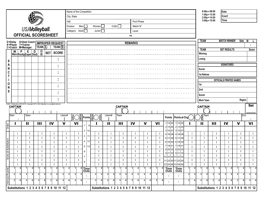|                 |                    |   |                                                                                       |                |                                                              |              |                                           |              |                | Name of the Competition          |                    |    |                |                |                                          |              |                |                |                |             |                |                     |              |                                        |              |                   |                  | $8:00a = 08:00$<br>$1:00p = 13:00$ |                                          | Date                 |                     |                                |                |                              |                |
|-----------------|--------------------|---|---------------------------------------------------------------------------------------|----------------|--------------------------------------------------------------|--------------|-------------------------------------------|--------------|----------------|----------------------------------|--------------------|----|----------------|----------------|------------------------------------------|--------------|----------------|----------------|----------------|-------------|----------------|---------------------|--------------|----------------------------------------|--------------|-------------------|------------------|------------------------------------|------------------------------------------|----------------------|---------------------|--------------------------------|----------------|------------------------------|----------------|
|                 |                    |   |                                                                                       |                |                                                              |              |                                           |              | City, State    |                                  |                    |    |                |                |                                          |              |                |                |                |             |                |                     |              |                                        |              |                   |                  | $2:00p = 14:00$                    |                                          | Court                |                     |                                |                |                              |                |
|                 |                    |   |                                                                                       |                |                                                              |              |                                           | Hall         |                |                                  |                    |    |                |                |                                          |              |                |                | Pool Phase     |             |                |                     |              |                                        |              |                   |                  | $3:00p = 15:00$                    |                                          | Time                 |                     |                                |                |                              |                |
|                 |                    |   |                                                                                       |                |                                                              |              |                                           |              | Division       |                                  | Men                |    | Women          |                |                                          | CoEd         |                |                | Match N°       |             |                |                     |              |                                        |              |                   |                  |                                    |                                          |                      |                     |                                |                |                              |                |
|                 |                    |   | <b>USAVolleyball.</b>                                                                 |                |                                                              |              |                                           |              | Category       |                                  | Adult <sup>1</sup> |    | Junior $\Box$  |                |                                          |              |                |                | Level          |             |                |                     |              |                                        |              |                   |                  |                                    |                                          |                      |                     |                                |                |                              |                |
|                 |                    |   | <b>OFFICIAL SCORESHEET</b>                                                            |                |                                                              |              |                                           |              |                |                                  |                    |    |                |                |                                          |              |                | vs             |                |             |                |                     |              |                                        |              |                   |                  |                                    |                                          |                      |                     |                                |                |                              |                |
|                 | D=Delay            |   | A=Asst Coach   IMPROPER REQUEST                                                       |                |                                                              |              |                                           |              |                |                                  |                    |    |                |                |                                          |              |                | <b>REMARKS</b> |                |             |                |                     |              |                                        |              |                   | <b>TEAM</b>      |                                    |                                          |                      | <b>MATCH WINNER</b> | Sets                           | W              |                              |                |
|                 | #=Player T=Trainer |   | C=Coach M=Manager                                                                     |                |                                                              |              | TEAM $\overline{A}$ : TEAM $\overline{B}$ |              |                |                                  |                    |    |                |                |                                          |              |                |                |                |             |                |                     |              |                                        |              |                   |                  |                                    |                                          |                      |                     |                                |                |                              |                |
|                 | W                  | P | E                                                                                     | D              | $\overset{\textcircled{\textcirc}}{\textcircled{\textcirc}}$ | <b>SET</b>   | <b>SCORE</b>                              |              |                |                                  |                    |    |                |                |                                          |              |                |                |                |             |                |                     |              |                                        |              |                   | <b>TEAM</b>      |                                    |                                          |                      | <b>SET RESULTS</b>  |                                |                | Score                        |                |
|                 |                    |   | Warn Penity Expel DisQ                                                                |                |                                                              |              |                                           |              |                |                                  |                    |    |                |                |                                          |              |                |                |                |             |                |                     |              |                                        |              |                   | <b>Winning</b>   |                                    |                                          |                      |                     |                                |                |                              |                |
| S               |                    |   |                                                                                       |                |                                                              |              | ٠                                         |              |                |                                  |                    |    |                |                |                                          |              |                |                |                |             |                |                     |              |                                        |              |                   | Losing           |                                    |                                          |                      |                     |                                |                |                              |                |
| A               |                    |   |                                                                                       |                |                                                              |              |                                           |              |                |                                  |                    |    |                |                |                                          |              |                |                |                |             |                |                     |              |                                        |              |                   |                  |                                    |                                          |                      | <b>SIGNATURES</b>   |                                |                |                              |                |
| N               |                    |   |                                                                                       |                |                                                              |              |                                           |              |                |                                  |                    |    |                |                |                                          |              |                |                |                |             |                |                     |              |                                        |              |                   | Scorer           |                                    |                                          |                      |                     |                                |                |                              |                |
| C               |                    |   |                                                                                       |                |                                                              |              |                                           |              |                |                                  |                    |    |                |                |                                          |              |                |                |                |             |                |                     |              |                                        |              |                   | 1st Referee      |                                    |                                          |                      |                     |                                |                |                              |                |
|                 |                    |   |                                                                                       |                |                                                              |              |                                           |              |                |                                  |                    |    |                |                |                                          |              |                |                |                |             |                |                     |              |                                        |              |                   |                  |                                    |                                          |                      |                     | <b>OFFICIALS PRINTED NAMES</b> |                |                              |                |
| O               |                    |   |                                                                                       |                |                                                              |              |                                           |              |                |                                  |                    |    |                |                |                                          |              |                |                |                |             |                |                     | 1st          |                                        |              |                   |                  |                                    |                                          |                      |                     |                                |                |                              |                |
| N               |                    |   |                                                                                       |                |                                                              |              |                                           |              |                |                                  |                    |    |                |                |                                          |              |                |                | 2nd            |             |                |                     |              |                                        |              |                   |                  |                                    |                                          |                      |                     |                                |                |                              |                |
| S               |                    |   |                                                                                       |                |                                                              |              |                                           |              |                |                                  |                    |    |                |                |                                          |              |                |                |                |             |                |                     |              |                                        |              |                   | Scorer           |                                    |                                          |                      |                     |                                |                |                              |                |
|                 |                    |   |                                                                                       |                |                                                              |              |                                           |              |                |                                  |                    |    |                |                |                                          |              |                |                |                |             |                |                     |              |                                        |              |                   | <b>Work Team</b> |                                    |                                          |                      |                     |                                | Region         |                              |                |
|                 |                    |   | 150801_SSdeciding, 08/01/2015, Copyright 2015, USA Volleyball, ric.usav@all-vball.net |                |                                                              |              |                                           |              |                |                                  |                    |    |                |                |                                          |              |                |                |                |             |                |                     |              |                                        |              |                   |                  |                                    |                                          |                      |                     |                                |                | <b>Set</b>                   |                |
|                 | <b>CAPTAIN</b>     |   |                                                                                       |                |                                                              |              |                                           |              |                |                                  |                    |    |                |                |                                          |              | <b>CAPTAIN</b> |                |                |             |                |                     |              |                                        |              |                   | <b>CAPTAIN</b>   |                                    |                                          |                      |                     |                                |                |                              |                |
|                 |                    |   |                                                                                       |                |                                                              |              |                                           |              |                |                                  |                    |    |                |                |                                          |              |                |                |                |             |                |                     |              |                                        |              |                   |                  |                                    |                                          |                      |                     |                                |                |                              |                |
|                 | Start              |   | Team                                                                                  |                |                                                              |              |                                           | Libero#      | $\frac{A}{B}$  |                                  | <b>√Points</b>     |    |                |                | Libero#                                  | Team         |                |                |                |             |                |                     |              | Points Points at Chg                   |              |                   |                  | $\frac{A}{B}$ Team                 |                                          |                      |                     |                                | End            |                              |                |
| Order           |                    |   | $\blacksquare$                                                                        |                | $\mathbf{H}$                                                 | IV           |                                           | $\mathbf v$  |                | <b>VI</b>                        |                    | 9  |                |                | П                                        | $\mathbf{H}$ |                | IV             |                | $\mathbf v$ |                | VI                  |              | $1 13 25$ $1 13 25$                    |              |                   | Ш                |                                    | Ш                                        | IV                   |                     | $\mathbf v$                    |                | <b>VI</b>                    |                |
|                 |                    |   |                                                                                       |                |                                                              |              |                                           |              |                |                                  | $\overline{2}$     | 10 |                |                |                                          |              |                |                |                |             |                |                     |              | 2 14 26 2 14 26<br>$3 15 27$ $3 15 27$ |              |                   |                  |                                    |                                          |                      |                     |                                |                |                              |                |
|                 |                    |   | ÷                                                                                     |                | ÷                                                            |              | ÷                                         |              |                | J.                               | 3                  | 11 |                |                | ÷.                                       |              | ÷.             |                | ÷              |             |                |                     |              | 4 16 28 4 16 28                        |              | ÷                 | ÷                |                                    | ÷                                        |                      |                     | ÷                              |                | ÷                            |                |
|                 |                    |   | ÷                                                                                     |                | ÷                                                            |              | ÷                                         | ÷            |                | ÷                                |                    |    | н              |                | ÷.                                       |              | ÷.             |                | ÷              |             | ÷              | ÷                   |              | 5 17 29 5 17 29                        |              | ÷                 | ÷                |                                    | ÷                                        |                      | ÷                   | ÷                              |                | ÷                            |                |
| at Substitution |                    |   | ÷.                                                                                    |                | ÷                                                            |              | ÷                                         | ÷            |                | ÷                                | 4                  | 12 | ÷              |                | ÷.                                       |              | ÷.             |                | ÷              |             | ÷              | ÷                   |              | 6 18 30 6 18 30                        |              | ÷.                | ÷                |                                    | ÷                                        |                      | ÷                   | ÷                              |                | ÷.                           |                |
|                 |                    |   | ÷                                                                                     |                | ÷                                                            |              | ÷                                         |              |                | ÷                                | $5^{\circ}$        | 13 | ÷              |                | ÷.                                       |              | ÷.             |                | ÷              |             |                | ÷                   | 8 20 32      | 7 19 31 7 19 31<br>8 20 32             |              | ÷                 | ÷                |                                    | ÷                                        |                      |                     | ÷                              |                | ÷                            |                |
| <sub>2</sub> re |                    |   | f,                                                                                    |                | ÷                                                            |              | ÷                                         |              |                | ÷                                | 6                  |    |                |                | ÷                                        |              | J.             |                | ÷              |             |                |                     |              | 9 21 33 9 21 33                        |              | ÷,                | ÷                |                                    | ÷                                        |                      |                     | I,                             |                | ÷                            |                |
| မွိ             | ٠                  |   | л.                                                                                    |                | п.                                                           |              | ÷                                         | ٠            |                | $\blacksquare$                   |                    |    | ٠              |                | ÷                                        |              | $\mathbf{r}$   |                | ÷              |             | ٠              | $\cdot$             |              | 10 22 34 10 22 34                      |              | ÷                 | $\mathbf{r}$     |                                    | ÷                                        |                      | п.                  | п.                             |                | $\mathbf{r}$                 |                |
|                 |                    |   | ÷.                                                                                    |                | ÷                                                            |              | ÷                                         | ÷.           |                | ÷,                               | 8                  |    | ÷              |                | ÷.                                       |              | ÷.             |                | ÷.             |             | ÷              | ÷                   |              | 11 23 35 11 23 35                      |              | л.                | и.               |                                    | ÷.                                       |                      | ÷                   | ÷.                             |                | $\mathbf{I}$<br>$\mathbf{1}$ |                |
|                 |                    | 4 | ÷.                                                                                    | 4              | ÷.<br>$\overline{4}$                                         |              | ÷<br>4                                    | ÷.           | 4 <sup>1</sup> | ÷.                               |                    |    | ÷              | 4 <sup>1</sup> | ÷.<br>-1<br>4                            |              | ÷,             | $\mathbf{1}$   | ÷.<br>4        | 1           | ÷<br>4         | ÷                   |              | 12 24 36 12 24 36                      | $\mathbf{1}$ | $\mathbf{I}$<br>4 | ÷<br>1           |                                    | ÷<br>1<br>4                              | 1                    | ÷,<br>4             | ÷.                             | 4              | 11                           | $\overline{4}$ |
|                 | $\mathbf{2}$       | 5 | $\mathbf{2}$                                                                          | 5              | 5 <sub>5</sub><br>$\mathbf{2}$                               | $\mathbf{2}$ | 5 <sub>5</sub>                            | $\mathbf{2}$ | 5 <sup>1</sup> | $\overline{2}$<br>5 <sub>1</sub> | $4$ Time<br>Outs   |    | $\overline{2}$ | 5              | $\mathbf{2}$<br>5 <sub>5</sub>           | 2            | 5              | $\mathbf{2}$   | 5 <sub>1</sub> | 2           | 5 <sub>1</sub> | $\overline{2}$<br>5 | Time<br>Outs | Time<br>Outs                           | $\mathbf{2}$ | 5 <sub>5</sub>    | 2                | 5                                  | 2                                        | 2 <br>5 <sub>l</sub> | 5 <sub>l</sub>      | $\overline{2}$                 | 5 <sub>5</sub> | 2                            | $\sqrt{5}$     |
| Service Rounds  |                    |   |                                                                                       |                |                                                              |              |                                           |              |                |                                  |                    | ÷  |                |                |                                          |              |                |                |                |             |                |                     | ÷            | ÷                                      |              |                   |                  |                                    |                                          |                      |                     |                                |                |                              |                |
|                 | $\vert$ 3          | 6 | 3                                                                                     | 6 <sup>1</sup> | 6<br>$\mathbf{3}$                                            | 3            | 6 <sup>1</sup>                            | 3            | 6              | 6<br>3                           |                    | ÷, | 3              | 6              | 3<br>6                                   | 3            | 6              | 3              | 6              | 3           | 6 <sup>1</sup> | 3<br>6              | ÷            | ÷                                      | 3            | $6 \mid$          | 3                | 6                                  | 3                                        | 3<br>6               | 6 <sup>1</sup>      | 3                              | 6              | 3                            | 6              |
|                 |                    |   | Substitutions 1 2 3 4 5 6 7 8 9 10 11 12                                              |                |                                                              |              |                                           |              |                |                                  |                    |    |                |                | Substitutions 1 2 3 4 5 6 7 8 9 10 11 12 |              |                |                |                |             |                |                     |              |                                        |              |                   |                  |                                    | Substitutions 1 2 3 4 5 6 7 8 9 10 11 12 |                      |                     |                                |                |                              |                |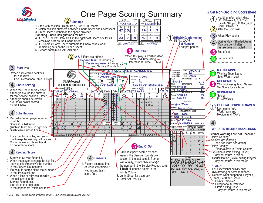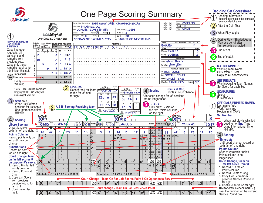

## **Deciding Set Scoresheet** Deciding Set Scoresheet Bcoresheet Deciding Set Scoresheet Record Information Record Information the same as:

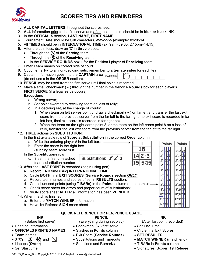

### **SCORER TIPS AND REMINDERS**

- 1. **ALL CAPITAL LETTERS** throughout the scoresheet.
- 2. **ALL** information prior to the first serve and after the last point should be in **blue or black INK**.
- 3. In the **OFFICIALS** section, **LAST NAME**, **FIRST NAME**.
- 4. Tournament **Date** should be **SIX** characters, *mm/dd/yy* (example: 09/18/14).
- 5. All **TIMES** should be in **INTERNATIONAL TIME** (ex: 9am=09:00, 2:15pm=14:15).
- 6. After the coin toss, draw an '**X**' in **three** places:
	- Through the **S** of the **Serving** team;
	- Through the **R** of the **Receiving** team;
	- In the **SERVICE ROUNDS** box 1 for the Position I player of **Receiving** team.
- 7. Enter Team names on correct side of court.
- 8. Copy Items 1-7 to all non-deciding sets, remember to **alternate sides** for each team.
- 9. Captain Information goes into the **CAPTAIN** area (do not use **c** in the **ORDER** section).
- 10. **PENCIL** may be used from the first serve until final point is recorded.
- 11. Make a small checkmark ( $\vee$ ) through the number in the **Service Rounds** box for each player's **FIRST SERVE** (if a legal serve occurs).

#### **Exceptions:**

- a. Wrong server;
- b. Set point awarded to receiving team on loss of rally;
- c. In a deciding set, at the change of courts:
	- 1. When team on left serves point 8, draw a checkmark( $\vee$ ) on far left and transfer the last exit score from the previous server from the far left to the far right; no exit score is recorded in far left box, final exit score is recorded in far right box;
	- 2. When the team on the right earns point 8, or the team on the left earns point 8 on a loss of rally, transfer the last exit score from the previous server from the far left to the far right.

#### 12. **THREE** actions on **SUBSTITUTION**:

In the first available row of **Score at Substitution** in the correct **Order** column

a. Write the entering player  $\#$  in the left box;  $\frac{1}{1}$ **Points** Points b. Enter the score in the right box 15 (subbing team score first); In the **Substitutions** row 2 : 3 Substitutions  $\mathcal{X} \mathcal{Z}$  3 c. Slash the first un-slashed team substitution number. 13. **After** the **LAST POINT** is recorded (begin using pen): a. Record **END** time using **INTERNATIONAL TIME;** b. Circle **BOTH** final **EXIT SCORES** (**Service Rounds** section *ONLY*); c. Record team names and scores of set in **RESULTS** section; d. Cancel unused points (using **T-BARs)** in the **Points** column (both teams);  $\rightarrow$ e. Check score sheet for errors and proper count of substitutions; f. **SIGN** score sheet **AFTER** all information has been **VERIFIED**. 14. When match is finished: a. Enter the **MATCH WINNER** information; b. Have 1st Referee **SIGN** score sheet.

### **QUICK REFERENCE FOR PEN/PENCIL USAGE**

**INK**  (Before first serve)

- Heading Information
- **OFFICIALS PRINTED NAMES**
- **Team** names
- 3 'X's  $\circledast$   $\circledast$   $\circledast$  and  $\uparrow \searrow$
- Lineups (**Order**)
- Set **Start** time

(Everything during set play)

\_\_\_\_\_\_\_\_\_\_\_\_\_\_\_\_\_\_\_\_\_\_\_\_\_\_\_\_\_\_\_\_\_\_\_\_\_\_\_\_\_\_\_\_\_\_\_\_\_\_\_\_\_\_\_\_\_\_\_\_\_\_\_\_\_\_\_\_\_\_\_\_\_\_\_\_\_\_\_\_\_\_\_\_\_\_\_\_

**PENCIL** 

- Checkmark  $($   $\vee$   $)$  first serve
- Slashes in **Points** column
- Exit Score (**Service Rounds**)
- Substitutions and Timeouts
- Sanctions and Remarks

#### **INK**

(After last point recorded)

- Set **End** Time
- Circle final Exit Scores
- **SET RESULTS**
- **MATCH WINNER** (match end)
- T-BARs in **Points** column
- Signatures: Scorer, 1st Referee

160105 Scorer Tips Copyright 2015 USA Volleyball ric.usav@all-vball.net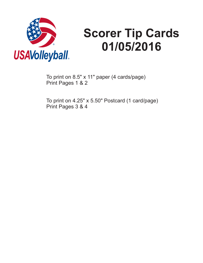

# **Scorer Tip Cards 01/05/2016**

To print on 8.5" x 11" paper (4 cards/page) Print Pages 1 & 2

To print on 4.25" x 5.50" Postcard (1 card/page) Print Pages 3 & 4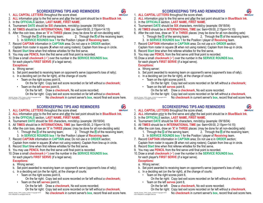#### **SCOREKEEPING TIPS AND REMINDERS**

- 1. ALL CAPITAL LETTERS throughout the score sheet.
- 2. ALL information prior to the first serve and after the last point should be in **Blue/Black Ink**.
- 3. In the OFFICIALS section, LAST NAME, FIRST NAME.
- 4. Tournament **DATE** should be **SIX** characters, mm/dd/yy (example: 09/18/04)
- 5. All **TIMES** should be in **INTERNATIONAL TIME** (ex: 9am=09:00, 2:15pm=14:15)
- 6. After the coin toss, draw an **'X'** in **THREE** places: (may be done for all non-deciding sets) 1. Through the S of the serving team;
	- 1. Through the **S** of the serving team;  $\hspace{2cm}$  2. Through the **R** of the receiving team; 3. In **SERVICE ROUNDS box 1** for the Position I player of **Receiving** team.
- 7. Record **CAPTAIN** information in **CAPTAIN** area: Do not use **c** in **ORDER** section:
- Captain from roster in square (X when not using rosters); Captain from line-up in circle. 8. Record **Start** time when first referee whistles for the first serve.
- 9. You may use **PENCIL** from the first serve until final point is recorded.
- **10. Draw a small checkmark (✓) over the number in the SERVICE ROUNDS box.** for each player's **FIRST SERVE** (if a legal serve). **Exceptions:**
	- a. Wrong server;
	- b. Set point awarded to receiving team on opponent's serve (opponent's loss of rally);
	- c. In a deciding set (on the far right), at the change of courts:
		- Team on the right scores point 8,
			- On the far right: Copy last exit score recorded on far left without a **checkmark;**
		- Team on the left **serves** point 8,
			- On the far left: Draw a **checkmark**, No exit score recorded;
			- On the far right: Copy last exit score recorded on far left without a **checkmark**, No **checkmark** in current server's **box**, record final exit score here.

160105\_Scorer\_TIPS\_Cards\_4.25x5.5 Copyright 2016 USA Volleyball ric.usav@all-vball.net

**SCOREKEEPING TIPS AND REMINDERS**

- 1. ALL CAPITAL LETTERS throughout the score sheet.
- 2. ALL information prior to the first serve and after the last point should be in **Blue/Black Ink**.
- 3. In the OFFICIALS section, LAST NAME, FIRST NAME.
- 4. Tournament **DATE** should be **SIX** characters, mm/dd/yy (example: 09/18/04)
- 5. All **TIMES** should be in **INTERNATIONAL TIME** (ex: 9am=09:00, 2:15pm=14:15)
- 6. After the coin toss, draw an **'X'** in **THREE** places: (may be done for all non-deciding sets)
	- 1. Through the **S** of the serving team;  $\hspace{2cm}$  2. Through the **R** of the receiving team; 3. In **SERVICE ROUNDS box 1** for the Position I player of **Receiving** team. 1. Through the **S** of the serving team;
- 7. Record **CAPTAIN** information in **CAPTAIN** area; Do not use **c** in **ORDER** section; Captain from roster in square (X when not using rosters); Captain from line-up in circle.
- 8. Record **Start** time when first referee whistles for the first serve.
- 9. You may use **PENCIL** from the first serve until final point is recorded.
- **10. Draw a small checkmark (✓) over the number in the SERVICE ROUNDS box.** for each player's **FIRST SERVE** (if a legal serve). **Exceptions:**
	-
	- a. Wrong server;
	- b. Set point awarded to receiving team on opponent's serve (opponent's loss of rally);
	- c. In a deciding set (on the far right), at the change of courts:
		- Team on the right scores point 8,

On the far right: Copy last exit score recorded on far left without a **checkmark;**

• Team on the left **serves** point 8,

On the far left: Draw a **checkmark**, No exit score recorded;

On the far right: Copy last exit score recorded on far left without a **checkmark**, No **checkmark** in current server's **box**, record final exit score here.

160105\_Scorer\_TIPS\_Cards\_4.25x5.5 Copyright 2016 USA Volleyball ric.usav@all-vball.ne

**SCOREKEEPING TIPS AND REMINDERS**

- 1. ALL CAPITAL LETTERS throughout the score sheet.
- 2. ALL information prior to the first serve and after the last point should be in **Blue/Black Ink**.
- 3. In the OFFICIALS section, LAST NAME, FIRST NAME.
- 4. Tournament **DATE** should be **SIX** characters, mm/dd/yy (example: 09/18/04)
- 5. All **TIMES** should be in **INTERNATIONAL TIME** (ex: 9am=09:00, 2:15pm=14:15)
- 6. After the coin toss, draw an **'X'** in **THREE** places: (may be done for all non-deciding sets) 1. Through the **S** of the serving team;  $\hspace{2cm}$  2. Through the **R** of the receiving team; 1. Through the  $\mathbf S$  of the serving team;
	- 3. In **SERVICE ROUNDS box 1** for the Position I player of **Receiving** team.
- 7. Record **CAPTAIN** information in **CAPTAIN** area: Do not use **c** in **ORDER** section:
- Captain from roster in square (X when not using rosters); Captain from line-up in circle.
- 8. Record **Start** time when first referee whistles for the first serve.
- 9. You may use **PENCIL** from the first serve until final point is recorded.
- **10. Draw a small checkmark (✓) over the number in the SERVICE ROUNDS box.** for each player's **FIRST SERVE** (if a legal serve). **Exceptions:**
	- a. Wrong server;
	- b. Set point awarded to receiving team on opponent's serve (opponent's loss of rally);
	- c. In a deciding set (on the far right), at the change of courts:
		- Team on the right scores point 8, On the far right: Copy last exit score recorded on far left without a **checkmark;**
		- Team on the left **serves** point 8,
			- On the far left: Draw a **checkmark**, No exit score recorded;

On the far right: Copy last exit score recorded on far left without a **checkmark**,

160105\_Scorer\_TIPS\_Cards\_4.25x5.5 Copyright 2016 USA Volleyball ric.usav@all-vball.net

#### **SCOREKEEPING TIPS AND REMINDERS**

- 1. ALL CAPITAL LETTERS throughout the score sheet.
- 2. ALL information prior to the first serve and after the last point should be in **Blue/Black Ink**. *USAVolleyball*®
- 3. In the OFFICIALS section, LAST NAME, FIRST NAME.
- 4. Tournament **DATE** should be **SIX** characters, mm/dd/yy (example: 09/18/04)
- 5. All **TIMES** should be in **INTERNATIONAL TIME** (ex: 9am=09:00, 2:15pm=14:15)
- 6. After the coin toss, draw an **'X'** in **THREE** places: (may be done for all non-deciding sets)
	- 1. Through the **S** of the serving team;  $\hspace{2cm}$  2. Through the **R** of the receiving team; 1. Through the  $\mathbf S$  of the serving team;
	- 3. In **SERVICE ROUNDS box 1** for the Position I player of **Receiving** team.
- 7. Record **CAPTAIN** information in **CAPTAIN** area; Do not use **c** in **ORDER** section; Captain from roster in square (X when not using rosters); Captain from line-up in circle.
- 8. Record **Start** time when first referee whistles for the first serve.
- 9. You may use **PENCIL** from the first serve until final point is recorded.
- **10. Draw a small checkmark (✓) over the number in the SERVICE ROUNDS box.** for each player's **FIRST SERVE** (if a legal serve). **Exceptions:**
	- a. Wrong server;
	- b. Set point awarded to receiving team on opponent's serve (opponent's loss of rally);
	- c. In a deciding set (on the far right), at the change of courts:
		- Team on the right scores point 8,
			- On the far right: Copy last exit score recorded on far left without a **checkmark;**
		- Team on the left **serves** point 8,
			- On the far left: Draw a **checkmark**. No exit score recorded:

On the far right: Copy last exit score recorded on far left without a **checkmark**, No **checkmark** in current server's **box**, record final exit score here.

160105\_Scorer\_TIPS\_Cards\_4.25x5.5 Copyright 2016 USA Volleyball ric.usav@all-vball.net

*USAVolleyball*®





*USAVolleyball*®

No **checkmark** in current server's **box**, record final exit score here.

编 *USAVolleyball*®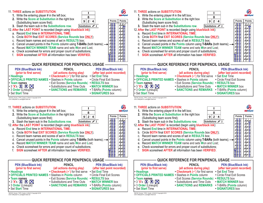

USA Volleyball ric.usav@all-vball.n

USA Volleyball ric.usav@all-vball.ne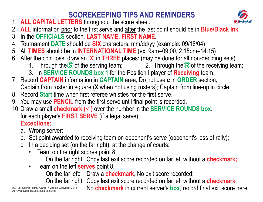#### **SCOREKEEPING TIPS AND REMINDERS**

- 1. ALL CAPITAL LETTERS throughout the score sheet.
- 2. ALL information prior to the first serve and after the last point should be in **Blue/Black Ink**.
- 3. In the OFFICIALS section, LAST NAME, FIRST NAME.
- 4. Tournament **DATE** should be **SIX** characters, mm/dd/yy (example: 09/18/04)
- 5. All **TIMES** should be in **INTERNATIONAL TIME** (ex: 9am=09:00, 2:15pm=14:15)
- 6. After the coin toss, draw an **'X'** in **THREE** places: (may be done for all non-deciding sets)
	- 1. Through the S of the serving team;  $\hspace{2cm}$  2. Through the R of the receiving team;
	- 3. In **SERVICE ROUNDS box 1** for the Position I player of **Receiving** team.
- 7. Record **CAPTAIN** information in **CAPTAIN** area: Do not use **c** in **ORDER** section: Captain from roster in square (**X** when not using rosters); Captain from line-up in circle.
- 8. Record **Start** time when first referee whistles for the first serve.
- 9. You may use **PENCIL** from the first serve until final point is recorded.
- **10. Draw a small checkmark (✓) over the number in the SERVICE ROUNDS box.** for each player's **FIRST SERVE** (if a legal serve). **Exceptions:**
	- a. Wrong server;
	- b. Set point awarded to receiving team on opponent's serve (opponent's loss of rally);
	- c. In a deciding set (on the far right), at the change of courts:
		- Team on the right scores point 8,
			- On the far right: Copy last exit score recorded on far left without a **checkmark;**
		- Team on the left **serves** point 8,

On the far left: Draw a **checkmark**. No exit score recorded:

On the far right: Copy last exit score recorded on far left without a **checkmark**,

160105\_Scorer\_TIPS\_Cards\_4.25x5.5 Copyright 2016 USA Volleyball ric.usav@all-vball.net

No **checkmark** in current server's **box**, record final exit score here.

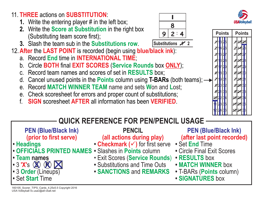160105\_Scorer\_TIPS\_Cards\_4.25x5.5 Copyright 2016 USA Volleyball ric.usav@all-vball.net

#### 11. THREE actions on SUBSTITUTION.

- **1.** Write the entering player # in the left box;
- **2.** Write the **Score at Substitution** in the right box (Substituting team score first);
- **3.** Slash the team sub in the **Substitutions row**.
- 12. After the LAST POINT is recorded (begin using **blue/black ink**):
	- a. Record **End** time in **INTERNATIONAL TIME**:
	- **b.** Circle BOTH final EXIT SCORES (Service Rounds box ONLY);
	- c. Record team names and scores of set in **RESULTS** box;
	- d. Cancel unused points in the **Points** column using **T-BARs** (both teams);  $\rightarrow$
	- **e.** Record **MATCH WINNER TEAM** name and sets **W**on and Lost;
	- e. Check scoresheet for errors and proper count of substitutions;
	- f. SIGN scoresheet AFTER all information has been VERIFIED.

#### **QUICK REFERENCE FOR PEN/PENCIL USAGE**

**PEN (Blue/Black Ink) (prior to first serve)**

- **• Headings**
- **•**• OFFICIALS PRINTED NAMES • Slashes in Points column
- **• names Team**
- **•** 3 **'X'**s **(X) (K) 1** $\boxtimes$
- **•** 3 (Lineups) **Order**
- **•** Set Time **Start**

**PENCIL**

#### **(all actions during play)**

- **Checkmark (✓)** for first serve
- 
- Exit Scores (**Service Rounds**)
- **•** Substitutions and Time Outs
- **• SANCTIONS REMARKS** and
- **PEN (Blue/Black Ink) (after last point recorded)**
- Set **End** Time
- **•** Circle Final Exit Scores
- **• RESULTS** box
- **• MATCH WINNER** box
- T-BARs (**Points** column)
- **• SIGNATURES** box

**: 924Substitutions X 2** 

*I***8**



**Points**

**/ / / /**

**/ / / / / / / / /**

**/ / /** **/ / /**

**/ / /**

**/ / /**

**Points**

**/**

**/ / / / / / / / /**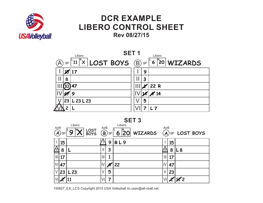

## **DCR EXAMPLELIBERO CONTROL SHEET Rev 08/27/15**



**SET 3**

| AorB<br>$\boldsymbol{A}$ | <b>SP</b> | Libero<br>IR.<br>LOST<br>BOYS | AorB          | $\left(\widehat{\mathsf{B}}\right)$ SP | Libero<br>$ 20 $ WIZARDS<br>6 | AorB |     | $(A)$ SP LOST BOYS |
|--------------------------|-----------|-------------------------------|---------------|----------------------------------------|-------------------------------|------|-----|--------------------|
|                          | 15        |                               |               | 9                                      | RL9                           |      | 15  |                    |
|                          | 8         |                               | $\mathbf{  }$ | 3                                      |                               |      | 8   | L8                 |
| $\mathbb{H}$             | 17        |                               | $\mathbb{H}$  |                                        |                               | ШI   | 17  |                    |
|                          | .47       |                               | V             |                                        | 22                            | IV   | .47 |                    |
| V                        | 23        | L23                           |               | 5                                      |                               | V    | 23  |                    |
|                          |           |                               | VII           | 7                                      |                               |      |     | K 2                |

150827\_EX\_LCS Copyright 2015 USA Volleyball ric.usav@all-vball.net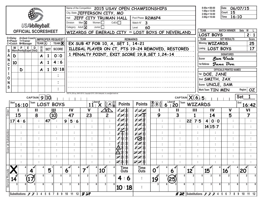|             |              |                                         |                       |             |              |                                      |   | City, State JEFFERSON CITY, MO<br>Hall                                          |                             |                                |                                   |                                                     | Name of the Competition 2015 USAV OPEN CHAMPIONSHIPS |                                    |                                                                     |                                                 |                |    |                      | $8:00a = 08:00$<br>$1:00p = 13:00$<br>$2:00p = 14:00$<br>$3:00p = 15:00$ |                                  | Date<br>Court 15<br>Time | 06/07/15<br>16:10                |            |                     |
|-------------|--------------|-----------------------------------------|-----------------------|-------------|--------------|--------------------------------------|---|---------------------------------------------------------------------------------|-----------------------------|--------------------------------|-----------------------------------|-----------------------------------------------------|------------------------------------------------------|------------------------------------|---------------------------------------------------------------------|-------------------------------------------------|----------------|----|----------------------|--------------------------------------------------------------------------|----------------------------------|--------------------------|----------------------------------|------------|---------------------|
|             |              |                                         |                       |             |              |                                      |   | Division                                                                        | Men $\overline{\mathsf{X}}$ |                                | Women $\square$                   |                                                     | JEFF CITY TRUMAN HALL<br>CoEd                        | Pool Phase R2M6P4<br>Match N°<br>3 |                                                                     |                                                 |                |    |                      |                                                                          |                                  |                          |                                  |            |                     |
|             |              |                                         | <b>USAVolleyball.</b> |             |              |                                      |   | Category Adult X                                                                |                             |                                | Junior $\Box$                     |                                                     |                                                      | 60<br>Level                        |                                                                     |                                                 |                |    |                      |                                                                          |                                  |                          |                                  |            |                     |
|             |              | <b>OFFICIAL SCORESHEET</b>              |                       |             |              |                                      |   |                                                                                 |                             |                                |                                   |                                                     | WIZARDS OF EMERALD CITY VS LOST BOYS OF NEVERLAND    |                                    |                                                                     |                                                 |                |    | <b>TEAM</b>          |                                                                          |                                  |                          | <b>MATCH WINNER</b>              | Sets       | W                   |
|             |              |                                         |                       |             |              | D=Delay A=Asst Coach MPROPER REQUEST |   |                                                                                 |                             |                                |                                   |                                                     | <b>REMARKS</b>                                       |                                    |                                                                     |                                                 |                |    | <b>TEAM</b>          |                                                                          | <b>LOST BOYS</b>                 | <b>SET RESULTS</b>       |                                  |            | 2:1<br>Score        |
|             |              | #=Player T=Trainer<br>C=Coach M=Manager |                       |             |              | TEAM $\text{A}$ : TEAM $\text{R}$    |   |                                                                                 |                             |                                |                                   |                                                     | EX SUB 47 FOR 10, A, SET 1, 14-21                    |                                    |                                                                     |                                                 |                |    |                      |                                                                          | Winning WIZARDS                  |                          |                                  |            | 25                  |
|             |              | W P E D<br>Warn Penity Expel DisQ       |                       | $\circledR$ | <b>SET</b>   | <b>SCORE</b>                         |   |                                                                                 |                             |                                |                                   |                                                     | ILLEGAL PLAYER ON CT, PTS 19-24 REMOVED, RESTORED    |                                    |                                                                     |                                                 |                |    |                      |                                                                          | Losing LOST BOYS                 |                          |                                  |            | 17                  |
| S           |              |                                         |                       |             |              | 0:0                                  |   |                                                                                 |                             |                                |                                   |                                                     | 1 PENALTY POINT, EXIT SCORE 19, B, SET 1, 24-14      |                                    |                                                                     |                                                 |                |    |                      |                                                                          |                                  | <b>SIGNATURES</b>        |                                  |            |                     |
| N           | D            |                                         |                       | A           | $\mathbf{1}$ |                                      |   |                                                                                 |                             |                                |                                   |                                                     |                                                      |                                    |                                                                     |                                                 |                |    | Scorer               |                                                                          | <b><i><u>Sam Vncle</u></i></b>   |                          |                                  |            |                     |
|             | 10           |                                         |                       | A           | $\mathbf{1}$ | 4:6                                  |   |                                                                                 |                             |                                |                                   |                                                     |                                                      |                                    |                                                                     |                                                 |                |    |                      | 1st Referee                                                              | Jane Doe                         |                          |                                  |            |                     |
|             |              | D                                       |                       | A           | $\mathbf{1}$ | 10:18                                |   |                                                                                 |                             |                                |                                   |                                                     |                                                      |                                    |                                                                     |                                                 |                |    |                      |                                                                          |                                  |                          | <b>OFFICIALS PRINTED NAMES</b>   |            |                     |
|             |              |                                         |                       |             |              |                                      |   |                                                                                 |                             |                                |                                   |                                                     |                                                      |                                    |                                                                     |                                                 |                |    |                      |                                                                          | 1st DOE, JANE                    |                          |                                  |            |                     |
| O           |              |                                         |                       |             |              |                                      |   |                                                                                 |                             |                                |                                   |                                                     |                                                      |                                    |                                                                     |                                                 |                |    |                      |                                                                          | 2nd SMITH, JAX                   |                          |                                  |            |                     |
| S           |              |                                         |                       |             |              |                                      |   |                                                                                 |                             |                                |                                   |                                                     |                                                      |                                    |                                                                     |                                                 |                |    |                      |                                                                          | Scorer UNCLE, SAM                |                          |                                  |            |                     |
|             |              |                                         |                       |             |              |                                      |   | 150719 SS1up, 08/01/2015, Copyright 2015, USA Volleyball, ric.usay@all-yball.ne |                             |                                |                                   |                                                     |                                                      |                                    |                                                                     |                                                 |                |    |                      |                                                                          | Work Team TIN MEN                |                          |                                  | Region     | <b>OZ</b>           |
|             |              |                                         | CAPTAIN $9(10)$       |             |              |                                      |   |                                                                                 |                             |                                |                                   |                                                     |                                                      |                                    |                                                                     |                                                 |                |    | CAPTAIN $X(6)$ 5     |                                                                          |                                  |                          |                                  | <b>Set</b> |                     |
|             | <b>Start</b> |                                         | Team                  |             |              |                                      |   |                                                                                 |                             |                                |                                   |                                                     |                                                      |                                    |                                                                     |                                                 |                |    |                      |                                                                          |                                  |                          |                                  | End        |                     |
|             |              |                                         |                       |             |              |                                      |   |                                                                                 |                             |                                |                                   |                                                     |                                                      |                                    |                                                                     |                                                 | Team           |    |                      |                                                                          |                                  |                          |                                  |            |                     |
|             |              | 16:10                                   |                       |             |              | <b>LOST BOYS</b>                     |   |                                                                                 |                             | 11 <sub>1</sub><br>$\mathbf v$ | $\overrightarrow{\text{Libero#}}$ | $\mathbb{E}(\mathcal{A})_{\mathbb{R}}^{\mathbb{S}}$ | <b>Points</b>                                        | <b>Points</b>                      | $\left \frac{\mathbf{X}}{\mathbf{B}}\left(\mathbf{B}\right)\right $ | $\overbrace{ }^{Libero\#}_{\qquad \  \  }$<br>6 |                |    | <b>WIZARDS</b>       |                                                                          |                                  |                          |                                  |            | 16:42               |
| Order       |              |                                         | Ш                     |             |              | Ш                                    |   | IV                                                                              |                             |                                |                                   | Vſ                                                  | 1232                                                 | 1 18 23                            |                                                                     |                                                 | Ш              |    | Ш<br>1               |                                                                          | IV                               |                          | $\mathbf v$                      |            | VI                  |
|             |              | 15                                      | 8                     | ÷           |              | (10)                                 |   | 47                                                                              |                             | 23                             |                                   | $\overline{c}$                                      | 8/15                                                 | 2 14 26<br>215                     | 9                                                                   |                                                 | 3              |    |                      |                                                                          | 14                               |                          | 5                                |            | 7                   |
|             | 17           | 4:6                                     |                       | ÷           | 47           |                                      | 9 | 5:6<br>÷                                                                        |                             | ÷                              |                                   |                                                     |                                                      | 16                                 |                                                                     |                                                 |                | 22 | 7:5<br>÷             | $\overline{\mathbf{4}}$                                                  | 0:0                              |                          |                                  |            |                     |
|             |              |                                         |                       |             |              |                                      |   |                                                                                 |                             |                                |                                   |                                                     |                                                      |                                    |                                                                     |                                                 |                |    |                      |                                                                          | 14 15:7                          |                          |                                  |            |                     |
|             |              |                                         |                       |             |              | ÷                                    |   | ÷                                                                               |                             | ÷                              |                                   |                                                     |                                                      | 118                                |                                                                     |                                                 |                |    |                      |                                                                          |                                  |                          |                                  |            |                     |
|             |              |                                         |                       |             |              | ÷                                    |   |                                                                                 |                             | ÷                              |                                   |                                                     |                                                      | C                                  |                                                                     |                                                 |                |    |                      |                                                                          |                                  |                          |                                  |            |                     |
|             |              |                                         |                       |             |              |                                      |   |                                                                                 |                             |                                |                                   |                                                     |                                                      |                                    |                                                                     |                                                 |                |    |                      |                                                                          |                                  |                          |                                  |            |                     |
| Score       |              |                                         |                       |             |              |                                      |   |                                                                                 |                             |                                |                                   |                                                     | الا                                                  | 10129                              |                                                                     |                                                 |                |    |                      |                                                                          |                                  |                          |                                  |            |                     |
|             |              |                                         |                       |             |              |                                      |   |                                                                                 |                             |                                |                                   |                                                     | $ \mathcal{H} $<br>3)Б                               | 28 35                              |                                                                     |                                                 |                |    |                      |                                                                          |                                  |                          |                                  |            |                     |
|             |              |                                         |                       |             |              |                                      |   |                                                                                 |                             |                                |                                   |                                                     | 12<br>3 <sub>5</sub>                                 | 12 24 36                           |                                                                     |                                                 |                |    |                      |                                                                          |                                  |                          |                                  |            |                     |
|             |              | 4                                       | 4                     |             | 5            | 4                                    | 6 | ᄿ                                                                               | 7                           |                                | 10 <sup>1</sup>                   |                                                     | <b>Time</b><br>Outs                                  | <b>Time</b><br>Outs                | $\overline{\mathbf{0}}^{\mathcal{M}}$                               | 6                                               |                | 12 |                      | 15 <sup>1</sup>                                                          |                                  | 16 <sup>2</sup>          |                                  | 20         | √<br>4              |
|             | 14           |                                         | $\ket{17}$            |             |              | 5<br>$\overline{2}$                  |   | $\overline{2}$                                                                  | 2                           | 5                              | $\overline{2}$                    | 5                                                   | 4:6                                                  | ÷,                                 | 19 <sup>2</sup>                                                     | (25)                                            | 5 <sup>5</sup> |    | 5 <sup>1</sup><br>21 |                                                                          | 5 <sup>1</sup><br>2 <sup>1</sup> |                          | 2 <sup>1</sup><br>5 <sup>1</sup> |            | 5<br>$\overline{2}$ |
| Service Rou |              | 6                                       |                       | 6           |              | 3<br>6                               |   | 3<br>6                                                                          | 3                           | 6                              | 3                                 |                                                     | 10:18                                                | ÷,                                 | 3 <sup>1</sup>                                                      | 6                                               | 6              |    | 3 <br>6              |                                                                          | 3 <sup>1</sup><br>6              |                          | 3 <br>6 <sup>1</sup>             |            | 6<br>3 <sup>1</sup> |